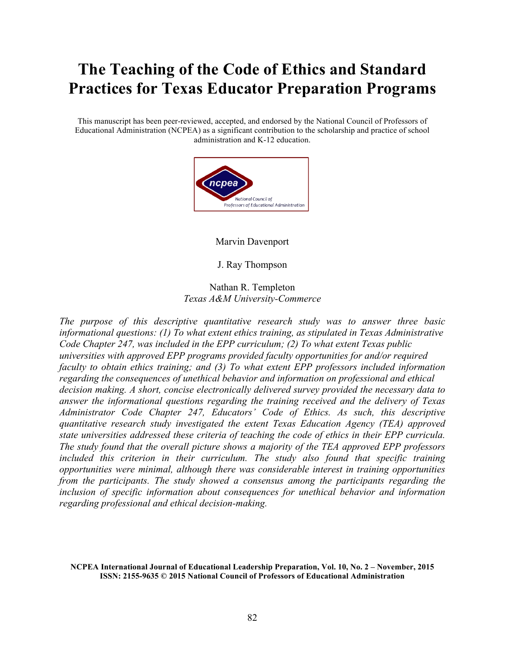# **The Teaching of the Code of Ethics and Standard Practices for Texas Educator Preparation Programs**

This manuscript has been peer-reviewed, accepted, and endorsed by the National Council of Professors of Educational Administration (NCPEA) as a significant contribution to the scholarship and practice of school administration and K-12 education.



Marvin Davenport

J. Ray Thompson

Nathan R. Templeton *Texas A&M University-Commerce*

*The purpose of this descriptive quantitative research study was to answer three basic informational questions: (1) To what extent ethics training, as stipulated in Texas Administrative Code Chapter 247, was included in the EPP curriculum; (2) To what extent Texas public universities with approved EPP programs provided faculty opportunities for and/or required faculty to obtain ethics training; and (3) To what extent EPP professors included information regarding the consequences of unethical behavior and information on professional and ethical decision making. A short, concise electronically delivered survey provided the necessary data to answer the informational questions regarding the training received and the delivery of Texas Administrator Code Chapter 247, Educators' Code of Ethics. As such, this descriptive quantitative research study investigated the extent Texas Education Agency (TEA) approved state universities addressed these criteria of teaching the code of ethics in their EPP curricula. The study found that the overall picture shows a majority of the TEA approved EPP professors included this criterion in their curriculum. The study also found that specific training opportunities were minimal, although there was considerable interest in training opportunities from the participants. The study showed a consensus among the participants regarding the inclusion of specific information about consequences for unethical behavior and information regarding professional and ethical decision-making.*

**NCPEA International Journal of Educational Leadership Preparation, Vol. 10, No. 2 – November, 2015 ISSN: 2155-9635 © 2015 National Council of Professors of Educational Administration**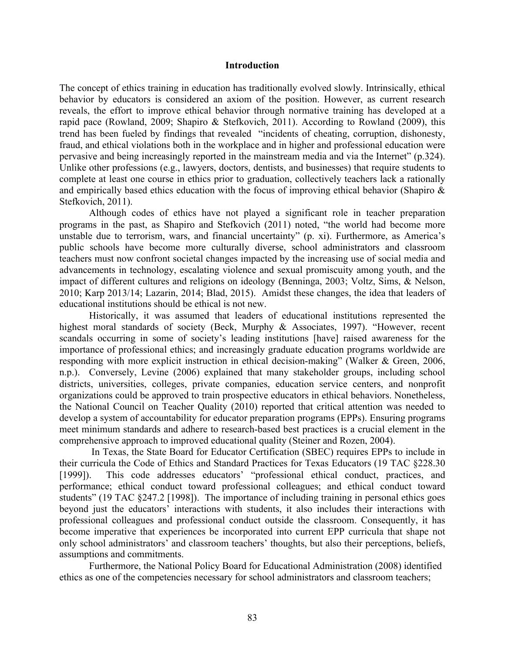#### **Introduction**

The concept of ethics training in education has traditionally evolved slowly. Intrinsically, ethical behavior by educators is considered an axiom of the position. However, as current research reveals, the effort to improve ethical behavior through normative training has developed at a rapid pace (Rowland, 2009; Shapiro & Stefkovich, 2011). According to Rowland (2009), this trend has been fueled by findings that revealed "incidents of cheating, corruption, dishonesty, fraud, and ethical violations both in the workplace and in higher and professional education were pervasive and being increasingly reported in the mainstream media and via the Internet" (p.324). Unlike other professions (e.g., lawyers, doctors, dentists, and businesses) that require students to complete at least one course in ethics prior to graduation, collectively teachers lack a rationally and empirically based ethics education with the focus of improving ethical behavior (Shapiro & Stefkovich, 2011).

Although codes of ethics have not played a significant role in teacher preparation programs in the past, as Shapiro and Stefkovich (2011) noted, "the world had become more unstable due to terrorism, wars, and financial uncertainty" (p. xi). Furthermore, as America's public schools have become more culturally diverse, school administrators and classroom teachers must now confront societal changes impacted by the increasing use of social media and advancements in technology, escalating violence and sexual promiscuity among youth, and the impact of different cultures and religions on ideology (Benninga, 2003; Voltz, Sims, & Nelson, 2010; Karp 2013/14; Lazarin, 2014; Blad, 2015). Amidst these changes, the idea that leaders of educational institutions should be ethical is not new.

Historically, it was assumed that leaders of educational institutions represented the highest moral standards of society (Beck, Murphy & Associates, 1997). "However, recent scandals occurring in some of society's leading institutions [have] raised awareness for the importance of professional ethics; and increasingly graduate education programs worldwide are responding with more explicit instruction in ethical decision-making" (Walker & Green, 2006, n.p.). Conversely, Levine (2006) explained that many stakeholder groups, including school districts, universities, colleges, private companies, education service centers, and nonprofit organizations could be approved to train prospective educators in ethical behaviors. Nonetheless, the National Council on Teacher Quality (2010) reported that critical attention was needed to develop a system of accountability for educator preparation programs (EPPs). Ensuring programs meet minimum standards and adhere to research-based best practices is a crucial element in the comprehensive approach to improved educational quality (Steiner and Rozen, 2004).

In Texas, the State Board for Educator Certification (SBEC) requires EPPs to include in their curricula the Code of Ethics and Standard Practices for Texas Educators (19 TAC §228.30 [1999]). This code addresses educators' "professional ethical conduct, practices, and performance; ethical conduct toward professional colleagues; and ethical conduct toward students" (19 TAC §247.2 [1998]). The importance of including training in personal ethics goes beyond just the educators' interactions with students, it also includes their interactions with professional colleagues and professional conduct outside the classroom. Consequently, it has become imperative that experiences be incorporated into current EPP curricula that shape not only school administrators' and classroom teachers' thoughts, but also their perceptions, beliefs, assumptions and commitments.

Furthermore, the National Policy Board for Educational Administration (2008) identified ethics as one of the competencies necessary for school administrators and classroom teachers;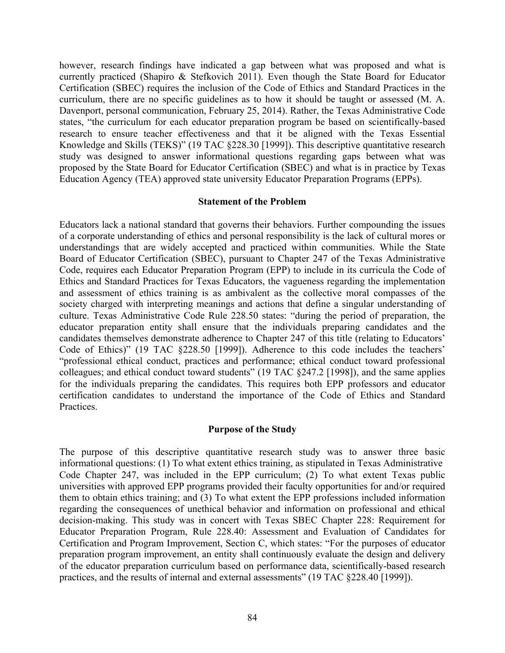however, research findings have indicated a gap between what was proposed and what is currently practiced (Shapiro & Stefkovich 2011). Even though the State Board for Educator Certification (SBEC) requires the inclusion of the Code of Ethics and Standard Practices in the curriculum, there are no specific guidelines as to how it should be taught or assessed (M. A. Davenport, personal communication, February 25, 2014). Rather, the Texas Administrative Code states, "the curriculum for each educator preparation program be based on scientifically-based research to ensure teacher effectiveness and that it be aligned with the Texas Essential Knowledge and Skills (TEKS)" (19 TAC §228.30 [1999]). This descriptive quantitative research study was designed to answer informational questions regarding gaps between what was proposed by the State Board for Educator Certification (SBEC) and what is in practice by Texas Education Agency (TEA) approved state university Educator Preparation Programs (EPPs).

## **Statement of the Problem**

Educators lack a national standard that governs their behaviors. Further compounding the issues of a corporate understanding of ethics and personal responsibility is the lack of cultural mores or understandings that are widely accepted and practiced within communities. While the State Board of Educator Certification (SBEC), pursuant to Chapter 247 of the Texas Administrative Code, requires each Educator Preparation Program (EPP) to include in its curricula the Code of Ethics and Standard Practices for Texas Educators, the vagueness regarding the implementation and assessment of ethics training is as ambivalent as the collective moral compasses of the society charged with interpreting meanings and actions that define a singular understanding of culture. Texas Administrative Code Rule 228.50 states: "during the period of preparation, the educator preparation entity shall ensure that the individuals preparing candidates and the candidates themselves demonstrate adherence to Chapter 247 of this title (relating to Educators' Code of Ethics)" (19 TAC §228.50 [1999]). Adherence to this code includes the teachers' "professional ethical conduct, practices and performance; ethical conduct toward professional colleagues; and ethical conduct toward students" (19 TAC §247.2 [1998]), and the same applies for the individuals preparing the candidates. This requires both EPP professors and educator certification candidates to understand the importance of the Code of Ethics and Standard Practices.

# **Purpose of the Study**

The purpose of this descriptive quantitative research study was to answer three basic informational questions: (1) To what extent ethics training, as stipulated in Texas Administrative Code Chapter 247, was included in the EPP curriculum; (2) To what extent Texas public universities with approved EPP programs provided their faculty opportunities for and/or required them to obtain ethics training; and (3) To what extent the EPP professions included information regarding the consequences of unethical behavior and information on professional and ethical decision-making. This study was in concert with Texas SBEC Chapter 228: Requirement for Educator Preparation Program, Rule 228.40: Assessment and Evaluation of Candidates for Certification and Program Improvement, Section C, which states: "For the purposes of educator preparation program improvement, an entity shall continuously evaluate the design and delivery of the educator preparation curriculum based on performance data, scientifically-based research practices, and the results of internal and external assessments" (19 TAC §228.40 [1999]).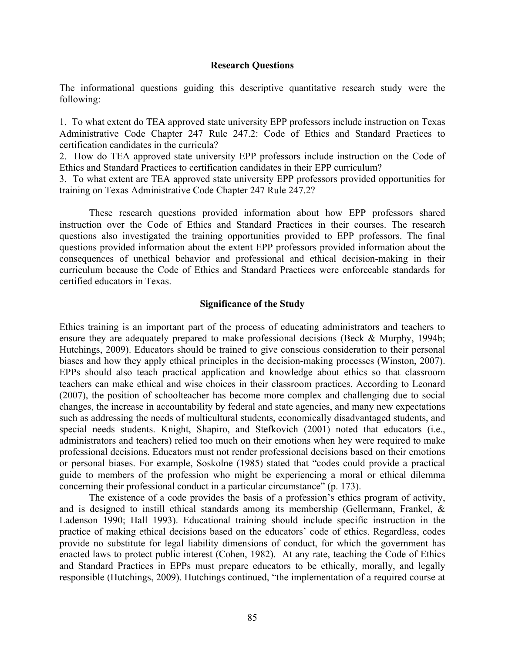#### **Research Questions**

The informational questions guiding this descriptive quantitative research study were the following:

1. To what extent do TEA approved state university EPP professors include instruction on Texas Administrative Code Chapter 247 Rule 247.2: Code of Ethics and Standard Practices to certification candidates in the curricula?

2. How do TEA approved state university EPP professors include instruction on the Code of Ethics and Standard Practices to certification candidates in their EPP curriculum?

3. To what extent are TEA approved state university EPP professors provided opportunities for training on Texas Administrative Code Chapter 247 Rule 247.2?

These research questions provided information about how EPP professors shared instruction over the Code of Ethics and Standard Practices in their courses. The research questions also investigated the training opportunities provided to EPP professors. The final questions provided information about the extent EPP professors provided information about the consequences of unethical behavior and professional and ethical decision-making in their curriculum because the Code of Ethics and Standard Practices were enforceable standards for certified educators in Texas.

## **Significance of the Study**

Ethics training is an important part of the process of educating administrators and teachers to ensure they are adequately prepared to make professional decisions (Beck & Murphy, 1994b; Hutchings, 2009). Educators should be trained to give conscious consideration to their personal biases and how they apply ethical principles in the decision-making processes (Winston, 2007). EPPs should also teach practical application and knowledge about ethics so that classroom teachers can make ethical and wise choices in their classroom practices. According to Leonard (2007), the position of schoolteacher has become more complex and challenging due to social changes, the increase in accountability by federal and state agencies, and many new expectations such as addressing the needs of multicultural students, economically disadvantaged students, and special needs students. Knight, Shapiro, and Stefkovich (2001) noted that educators (i.e., administrators and teachers) relied too much on their emotions when hey were required to make professional decisions. Educators must not render professional decisions based on their emotions or personal biases. For example, Soskolne (1985) stated that "codes could provide a practical guide to members of the profession who might be experiencing a moral or ethical dilemma concerning their professional conduct in a particular circumstance" (p. 173).

The existence of a code provides the basis of a profession's ethics program of activity, and is designed to instill ethical standards among its membership (Gellermann, Frankel, & Ladenson 1990; Hall 1993). Educational training should include specific instruction in the practice of making ethical decisions based on the educators' code of ethics. Regardless, codes provide no substitute for legal liability dimensions of conduct, for which the government has enacted laws to protect public interest (Cohen, 1982). At any rate, teaching the Code of Ethics and Standard Practices in EPPs must prepare educators to be ethically, morally, and legally responsible (Hutchings, 2009). Hutchings continued, "the implementation of a required course at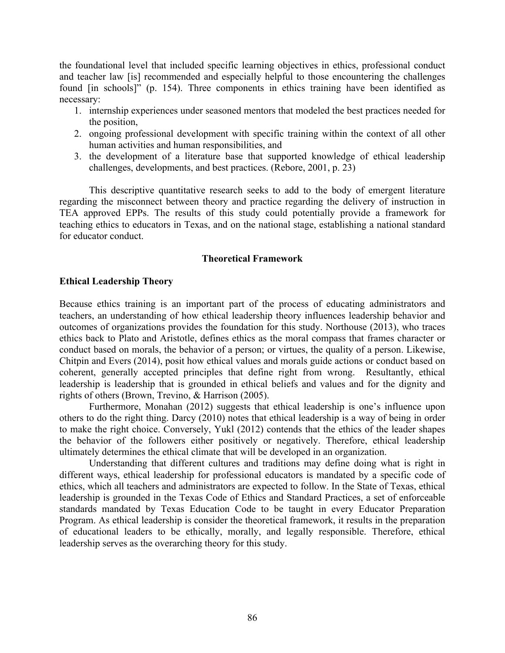the foundational level that included specific learning objectives in ethics, professional conduct and teacher law [is] recommended and especially helpful to those encountering the challenges found [in schools]" (p. 154). Three components in ethics training have been identified as necessary:

- 1. internship experiences under seasoned mentors that modeled the best practices needed for the position,
- 2. ongoing professional development with specific training within the context of all other human activities and human responsibilities, and
- 3. the development of a literature base that supported knowledge of ethical leadership challenges, developments, and best practices. (Rebore, 2001, p. 23)

This descriptive quantitative research seeks to add to the body of emergent literature regarding the misconnect between theory and practice regarding the delivery of instruction in TEA approved EPPs. The results of this study could potentially provide a framework for teaching ethics to educators in Texas, and on the national stage, establishing a national standard for educator conduct.

# **Theoretical Framework**

# **Ethical Leadership Theory**

Because ethics training is an important part of the process of educating administrators and teachers, an understanding of how ethical leadership theory influences leadership behavior and outcomes of organizations provides the foundation for this study. Northouse (2013), who traces ethics back to Plato and Aristotle, defines ethics as the moral compass that frames character or conduct based on morals, the behavior of a person; or virtues, the quality of a person. Likewise, Chitpin and Evers (2014), posit how ethical values and morals guide actions or conduct based on coherent, generally accepted principles that define right from wrong. Resultantly, ethical leadership is leadership that is grounded in ethical beliefs and values and for the dignity and rights of others (Brown, Trevino, & Harrison (2005).

Furthermore, Monahan (2012) suggests that ethical leadership is one's influence upon others to do the right thing. Darcy (2010) notes that ethical leadership is a way of being in order to make the right choice. Conversely, Yukl (2012) contends that the ethics of the leader shapes the behavior of the followers either positively or negatively. Therefore, ethical leadership ultimately determines the ethical climate that will be developed in an organization.

Understanding that different cultures and traditions may define doing what is right in different ways, ethical leadership for professional educators is mandated by a specific code of ethics, which all teachers and administrators are expected to follow. In the State of Texas, ethical leadership is grounded in the Texas Code of Ethics and Standard Practices, a set of enforceable standards mandated by Texas Education Code to be taught in every Educator Preparation Program. As ethical leadership is consider the theoretical framework, it results in the preparation of educational leaders to be ethically, morally, and legally responsible. Therefore, ethical leadership serves as the overarching theory for this study.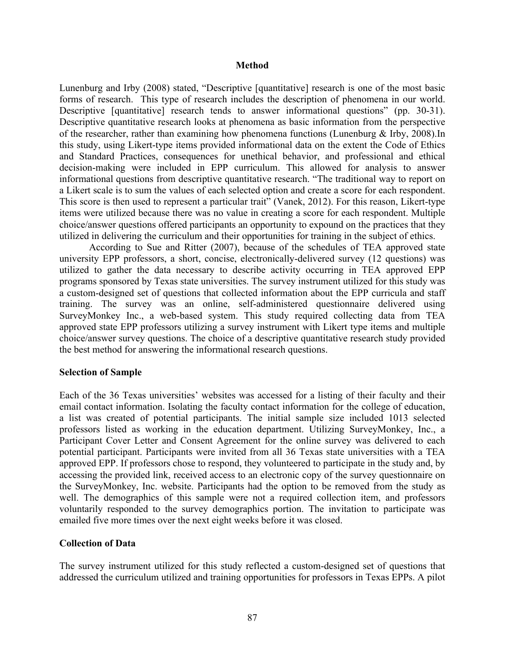## **Method**

Lunenburg and Irby (2008) stated, "Descriptive [quantitative] research is one of the most basic forms of research. This type of research includes the description of phenomena in our world. Descriptive [quantitative] research tends to answer informational questions" (pp. 30-31). Descriptive quantitative research looks at phenomena as basic information from the perspective of the researcher, rather than examining how phenomena functions (Lunenburg & Irby, 2008).In this study, using Likert-type items provided informational data on the extent the Code of Ethics and Standard Practices, consequences for unethical behavior, and professional and ethical decision-making were included in EPP curriculum. This allowed for analysis to answer informational questions from descriptive quantitative research. "The traditional way to report on a Likert scale is to sum the values of each selected option and create a score for each respondent. This score is then used to represent a particular trait" (Vanek, 2012). For this reason, Likert-type items were utilized because there was no value in creating a score for each respondent. Multiple choice/answer questions offered participants an opportunity to expound on the practices that they utilized in delivering the curriculum and their opportunities for training in the subject of ethics.

According to Sue and Ritter (2007), because of the schedules of TEA approved state university EPP professors, a short, concise, electronically-delivered survey (12 questions) was utilized to gather the data necessary to describe activity occurring in TEA approved EPP programs sponsored by Texas state universities. The survey instrument utilized for this study was a custom-designed set of questions that collected information about the EPP curricula and staff training. The survey was an online, self-administered questionnaire delivered using SurveyMonkey Inc., a web-based system. This study required collecting data from TEA approved state EPP professors utilizing a survey instrument with Likert type items and multiple choice/answer survey questions. The choice of a descriptive quantitative research study provided the best method for answering the informational research questions.

#### **Selection of Sample**

Each of the 36 Texas universities' websites was accessed for a listing of their faculty and their email contact information. Isolating the faculty contact information for the college of education, a list was created of potential participants. The initial sample size included 1013 selected professors listed as working in the education department. Utilizing SurveyMonkey, Inc., a Participant Cover Letter and Consent Agreement for the online survey was delivered to each potential participant. Participants were invited from all 36 Texas state universities with a TEA approved EPP. If professors chose to respond, they volunteered to participate in the study and, by accessing the provided link, received access to an electronic copy of the survey questionnaire on the SurveyMonkey, Inc. website. Participants had the option to be removed from the study as well. The demographics of this sample were not a required collection item, and professors voluntarily responded to the survey demographics portion. The invitation to participate was emailed five more times over the next eight weeks before it was closed.

# **Collection of Data**

The survey instrument utilized for this study reflected a custom-designed set of questions that addressed the curriculum utilized and training opportunities for professors in Texas EPPs. A pilot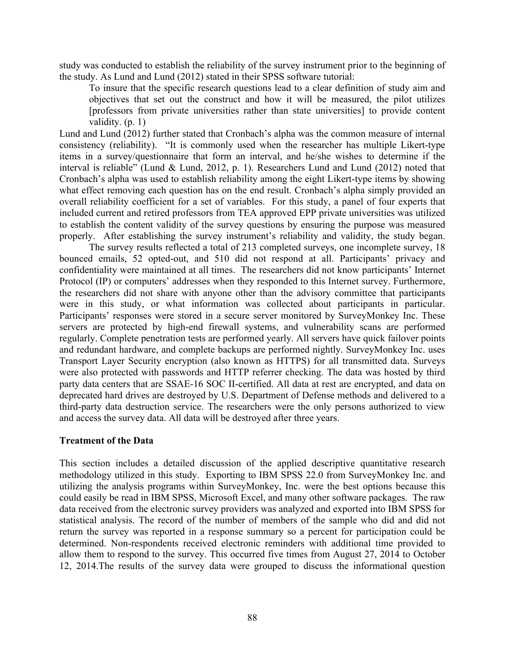study was conducted to establish the reliability of the survey instrument prior to the beginning of the study. As Lund and Lund (2012) stated in their SPSS software tutorial:

To insure that the specific research questions lead to a clear definition of study aim and objectives that set out the construct and how it will be measured, the pilot utilizes [professors from private universities rather than state universities] to provide content validity. (p. 1)

Lund and Lund (2012) further stated that Cronbach's alpha was the common measure of internal consistency (reliability). "It is commonly used when the researcher has multiple Likert-type items in a survey/questionnaire that form an interval, and he/she wishes to determine if the interval is reliable" (Lund & Lund, 2012, p. 1). Researchers Lund and Lund (2012) noted that Cronbach's alpha was used to establish reliability among the eight Likert-type items by showing what effect removing each question has on the end result. Cronbach's alpha simply provided an overall reliability coefficient for a set of variables. For this study, a panel of four experts that included current and retired professors from TEA approved EPP private universities was utilized to establish the content validity of the survey questions by ensuring the purpose was measured properly. After establishing the survey instrument's reliability and validity, the study began.

The survey results reflected a total of 213 completed surveys, one incomplete survey, 18 bounced emails, 52 opted-out, and 510 did not respond at all. Participants' privacy and confidentiality were maintained at all times. The researchers did not know participants' Internet Protocol (IP) or computers' addresses when they responded to this Internet survey. Furthermore, the researchers did not share with anyone other than the advisory committee that participants were in this study, or what information was collected about participants in particular. Participants' responses were stored in a secure server monitored by SurveyMonkey Inc. These servers are protected by high-end firewall systems, and vulnerability scans are performed regularly. Complete penetration tests are performed yearly. All servers have quick failover points and redundant hardware, and complete backups are performed nightly. SurveyMonkey Inc. uses Transport Layer Security encryption (also known as HTTPS) for all transmitted data. Surveys were also protected with passwords and HTTP referrer checking. The data was hosted by third party data centers that are SSAE-16 SOC II-certified. All data at rest are encrypted, and data on deprecated hard drives are destroyed by U.S. Department of Defense methods and delivered to a third-party data destruction service. The researchers were the only persons authorized to view and access the survey data. All data will be destroyed after three years.

# **Treatment of the Data**

This section includes a detailed discussion of the applied descriptive quantitative research methodology utilized in this study. Exporting to IBM SPSS 22.0 from SurveyMonkey Inc. and utilizing the analysis programs within SurveyMonkey, Inc. were the best options because this could easily be read in IBM SPSS, Microsoft Excel, and many other software packages. The raw data received from the electronic survey providers was analyzed and exported into IBM SPSS for statistical analysis. The record of the number of members of the sample who did and did not return the survey was reported in a response summary so a percent for participation could be determined. Non-respondents received electronic reminders with additional time provided to allow them to respond to the survey. This occurred five times from August 27, 2014 to October 12, 2014.The results of the survey data were grouped to discuss the informational question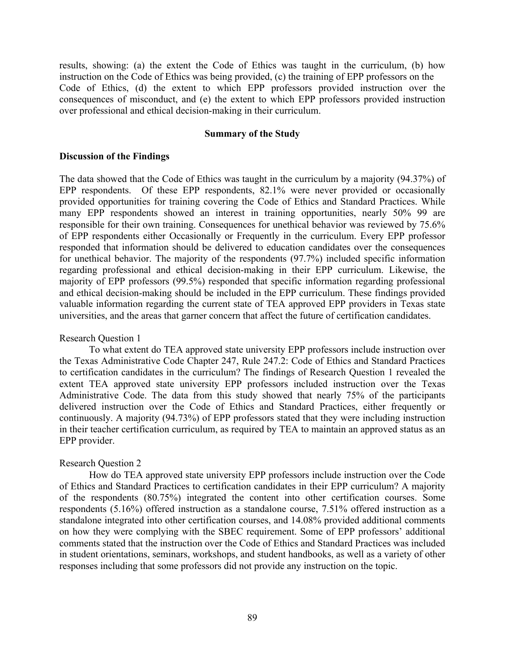results, showing: (a) the extent the Code of Ethics was taught in the curriculum, (b) how instruction on the Code of Ethics was being provided, (c) the training of EPP professors on the Code of Ethics, (d) the extent to which EPP professors provided instruction over the consequences of misconduct, and (e) the extent to which EPP professors provided instruction over professional and ethical decision-making in their curriculum.

### **Summary of the Study**

#### **Discussion of the Findings**

The data showed that the Code of Ethics was taught in the curriculum by a majority (94.37%) of EPP respondents. Of these EPP respondents, 82.1% were never provided or occasionally provided opportunities for training covering the Code of Ethics and Standard Practices. While many EPP respondents showed an interest in training opportunities, nearly 50% 99 are responsible for their own training. Consequences for unethical behavior was reviewed by 75.6% of EPP respondents either Occasionally or Frequently in the curriculum. Every EPP professor responded that information should be delivered to education candidates over the consequences for unethical behavior. The majority of the respondents (97.7%) included specific information regarding professional and ethical decision-making in their EPP curriculum. Likewise, the majority of EPP professors (99.5%) responded that specific information regarding professional and ethical decision-making should be included in the EPP curriculum. These findings provided valuable information regarding the current state of TEA approved EPP providers in Texas state universities, and the areas that garner concern that affect the future of certification candidates.

#### Research Question 1

To what extent do TEA approved state university EPP professors include instruction over the Texas Administrative Code Chapter 247, Rule 247.2: Code of Ethics and Standard Practices to certification candidates in the curriculum? The findings of Research Question 1 revealed the extent TEA approved state university EPP professors included instruction over the Texas Administrative Code. The data from this study showed that nearly 75% of the participants delivered instruction over the Code of Ethics and Standard Practices, either frequently or continuously. A majority (94.73%) of EPP professors stated that they were including instruction in their teacher certification curriculum, as required by TEA to maintain an approved status as an EPP provider.

#### Research Question 2

How do TEA approved state university EPP professors include instruction over the Code of Ethics and Standard Practices to certification candidates in their EPP curriculum? A majority of the respondents (80.75%) integrated the content into other certification courses. Some respondents (5.16%) offered instruction as a standalone course, 7.51% offered instruction as a standalone integrated into other certification courses, and 14.08% provided additional comments on how they were complying with the SBEC requirement. Some of EPP professors' additional comments stated that the instruction over the Code of Ethics and Standard Practices was included in student orientations, seminars, workshops, and student handbooks, as well as a variety of other responses including that some professors did not provide any instruction on the topic.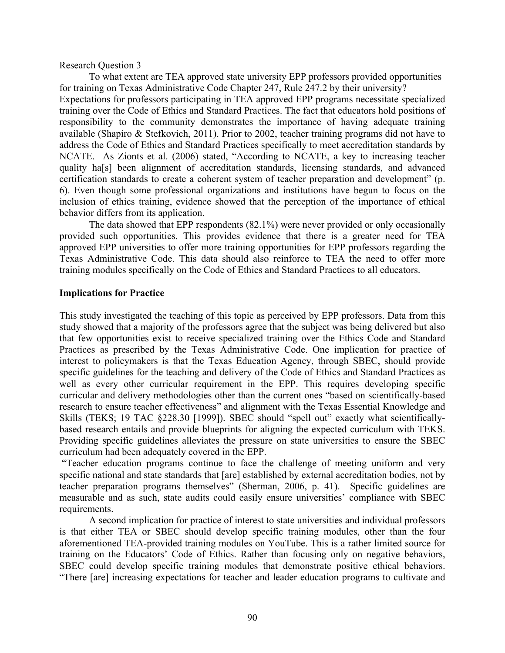Research Question 3

To what extent are TEA approved state university EPP professors provided opportunities for training on Texas Administrative Code Chapter 247, Rule 247.2 by their university? Expectations for professors participating in TEA approved EPP programs necessitate specialized training over the Code of Ethics and Standard Practices. The fact that educators hold positions of responsibility to the community demonstrates the importance of having adequate training available (Shapiro & Stefkovich, 2011). Prior to 2002, teacher training programs did not have to address the Code of Ethics and Standard Practices specifically to meet accreditation standards by NCATE. As Zionts et al. (2006) stated, "According to NCATE, a key to increasing teacher quality ha[s] been alignment of accreditation standards, licensing standards, and advanced certification standards to create a coherent system of teacher preparation and development" (p. 6). Even though some professional organizations and institutions have begun to focus on the inclusion of ethics training, evidence showed that the perception of the importance of ethical behavior differs from its application.

The data showed that EPP respondents (82.1%) were never provided or only occasionally provided such opportunities. This provides evidence that there is a greater need for TEA approved EPP universities to offer more training opportunities for EPP professors regarding the Texas Administrative Code. This data should also reinforce to TEA the need to offer more training modules specifically on the Code of Ethics and Standard Practices to all educators.

#### **Implications for Practice**

This study investigated the teaching of this topic as perceived by EPP professors. Data from this study showed that a majority of the professors agree that the subject was being delivered but also that few opportunities exist to receive specialized training over the Ethics Code and Standard Practices as prescribed by the Texas Administrative Code. One implication for practice of interest to policymakers is that the Texas Education Agency, through SBEC, should provide specific guidelines for the teaching and delivery of the Code of Ethics and Standard Practices as well as every other curricular requirement in the EPP. This requires developing specific curricular and delivery methodologies other than the current ones "based on scientifically-based research to ensure teacher effectiveness" and alignment with the Texas Essential Knowledge and Skills (TEKS; 19 TAC §228.30 [1999]). SBEC should "spell out" exactly what scientificallybased research entails and provide blueprints for aligning the expected curriculum with TEKS. Providing specific guidelines alleviates the pressure on state universities to ensure the SBEC curriculum had been adequately covered in the EPP.

"Teacher education programs continue to face the challenge of meeting uniform and very specific national and state standards that [are] established by external accreditation bodies, not by teacher preparation programs themselves" (Sherman, 2006, p. 41). Specific guidelines are measurable and as such, state audits could easily ensure universities' compliance with SBEC requirements.

A second implication for practice of interest to state universities and individual professors is that either TEA or SBEC should develop specific training modules, other than the four aforementioned TEA-provided training modules on YouTube. This is a rather limited source for training on the Educators' Code of Ethics. Rather than focusing only on negative behaviors, SBEC could develop specific training modules that demonstrate positive ethical behaviors. "There [are] increasing expectations for teacher and leader education programs to cultivate and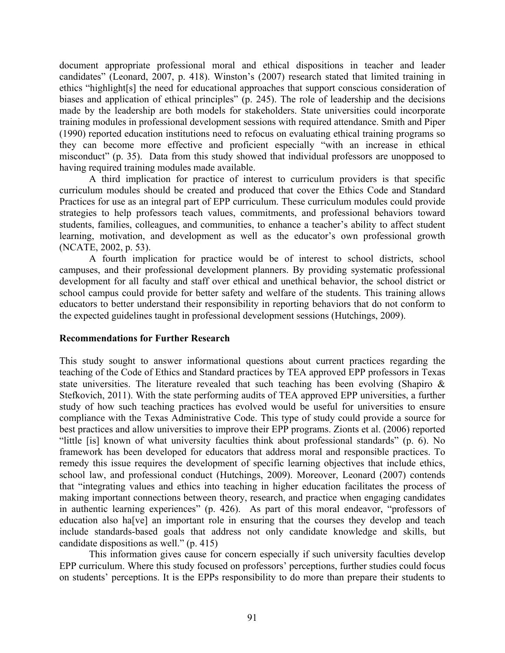document appropriate professional moral and ethical dispositions in teacher and leader candidates" (Leonard, 2007, p. 418). Winston's (2007) research stated that limited training in ethics "highlight[s] the need for educational approaches that support conscious consideration of biases and application of ethical principles" (p. 245). The role of leadership and the decisions made by the leadership are both models for stakeholders. State universities could incorporate training modules in professional development sessions with required attendance. Smith and Piper (1990) reported education institutions need to refocus on evaluating ethical training programs so they can become more effective and proficient especially "with an increase in ethical misconduct" (p. 35). Data from this study showed that individual professors are unopposed to having required training modules made available.

A third implication for practice of interest to curriculum providers is that specific curriculum modules should be created and produced that cover the Ethics Code and Standard Practices for use as an integral part of EPP curriculum. These curriculum modules could provide strategies to help professors teach values, commitments, and professional behaviors toward students, families, colleagues, and communities, to enhance a teacher's ability to affect student learning, motivation, and development as well as the educator's own professional growth (NCATE, 2002, p. 53).

A fourth implication for practice would be of interest to school districts, school campuses, and their professional development planners. By providing systematic professional development for all faculty and staff over ethical and unethical behavior, the school district or school campus could provide for better safety and welfare of the students. This training allows educators to better understand their responsibility in reporting behaviors that do not conform to the expected guidelines taught in professional development sessions (Hutchings, 2009).

# **Recommendations for Further Research**

This study sought to answer informational questions about current practices regarding the teaching of the Code of Ethics and Standard practices by TEA approved EPP professors in Texas state universities. The literature revealed that such teaching has been evolving (Shapiro & Stefkovich, 2011). With the state performing audits of TEA approved EPP universities, a further study of how such teaching practices has evolved would be useful for universities to ensure compliance with the Texas Administrative Code. This type of study could provide a source for best practices and allow universities to improve their EPP programs. Zionts et al. (2006) reported "little [is] known of what university faculties think about professional standards" (p. 6). No framework has been developed for educators that address moral and responsible practices. To remedy this issue requires the development of specific learning objectives that include ethics, school law, and professional conduct (Hutchings, 2009). Moreover, Leonard (2007) contends that "integrating values and ethics into teaching in higher education facilitates the process of making important connections between theory, research, and practice when engaging candidates in authentic learning experiences" (p. 426). As part of this moral endeavor, "professors of education also ha[ve] an important role in ensuring that the courses they develop and teach include standards-based goals that address not only candidate knowledge and skills, but candidate dispositions as well." (p. 415)

This information gives cause for concern especially if such university faculties develop EPP curriculum. Where this study focused on professors' perceptions, further studies could focus on students' perceptions. It is the EPPs responsibility to do more than prepare their students to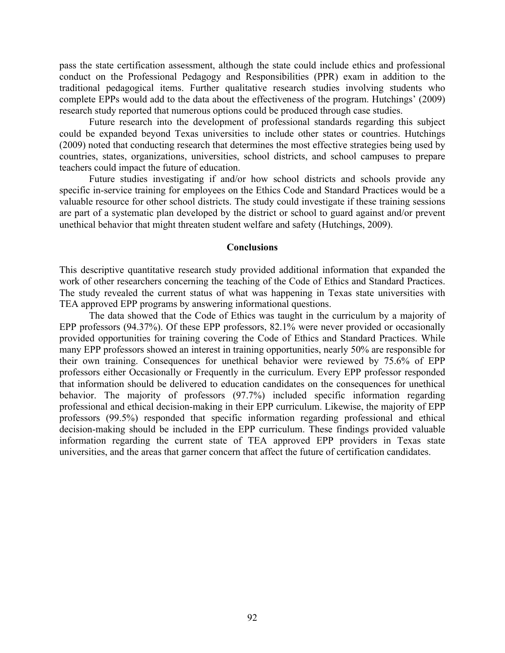pass the state certification assessment, although the state could include ethics and professional conduct on the Professional Pedagogy and Responsibilities (PPR) exam in addition to the traditional pedagogical items. Further qualitative research studies involving students who complete EPPs would add to the data about the effectiveness of the program. Hutchings' (2009) research study reported that numerous options could be produced through case studies.

Future research into the development of professional standards regarding this subject could be expanded beyond Texas universities to include other states or countries. Hutchings (2009) noted that conducting research that determines the most effective strategies being used by countries, states, organizations, universities, school districts, and school campuses to prepare teachers could impact the future of education.

Future studies investigating if and/or how school districts and schools provide any specific in-service training for employees on the Ethics Code and Standard Practices would be a valuable resource for other school districts. The study could investigate if these training sessions are part of a systematic plan developed by the district or school to guard against and/or prevent unethical behavior that might threaten student welfare and safety (Hutchings, 2009).

#### **Conclusions**

This descriptive quantitative research study provided additional information that expanded the work of other researchers concerning the teaching of the Code of Ethics and Standard Practices. The study revealed the current status of what was happening in Texas state universities with TEA approved EPP programs by answering informational questions.

The data showed that the Code of Ethics was taught in the curriculum by a majority of EPP professors (94.37%). Of these EPP professors, 82.1% were never provided or occasionally provided opportunities for training covering the Code of Ethics and Standard Practices. While many EPP professors showed an interest in training opportunities, nearly 50% are responsible for their own training. Consequences for unethical behavior were reviewed by 75.6% of EPP professors either Occasionally or Frequently in the curriculum. Every EPP professor responded that information should be delivered to education candidates on the consequences for unethical behavior. The majority of professors (97.7%) included specific information regarding professional and ethical decision-making in their EPP curriculum. Likewise, the majority of EPP professors (99.5%) responded that specific information regarding professional and ethical decision-making should be included in the EPP curriculum. These findings provided valuable information regarding the current state of TEA approved EPP providers in Texas state universities, and the areas that garner concern that affect the future of certification candidates.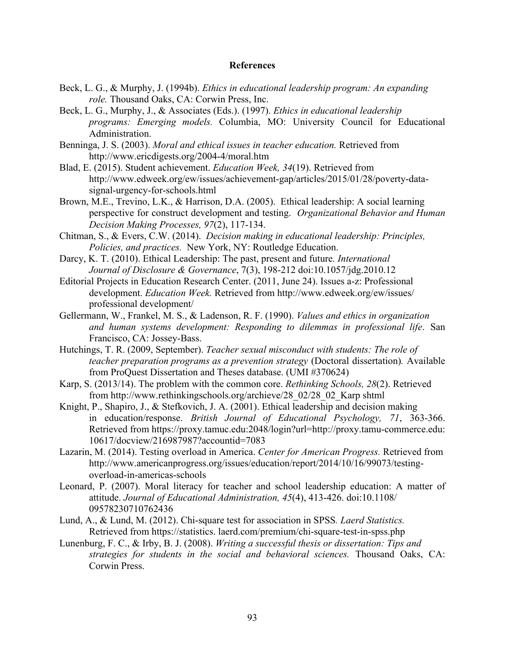#### **References**

- Beck, L. G., & Murphy, J. (1994b). *Ethics in educational leadership program: An expanding role.* Thousand Oaks, CA: Corwin Press, Inc.
- Beck, L. G., Murphy, J., & Associates (Eds.). (1997). *Ethics in educational leadership programs: Emerging models.* Columbia, MO: University Council for Educational Administration.
- Benninga, J. S. (2003). *Moral and ethical issues in teacher education.* Retrieved from http://www.ericdigests.org/2004-4/moral.htm
- Blad, E. (2015). Student achievement. *Education Week, 34*(19). Retrieved from http://www.edweek.org/ew/issues/achievement-gap/articles/2015/01/28/poverty-datasignal-urgency-for-schools.html
- Brown, M.E., Trevino, L.K., & Harrison, D.A. (2005). Ethical leadership: A social learning perspective for construct development and testing. *Organizational Behavior and Human Decision Making Processes, 97*(2), 117-134.
- Chitman, S., & Evers, C.W. (2014). *Decision making in educational leadership: Principles, Policies, and practices.* New York, NY: Routledge Education.
- Darcy, K. T. (2010). Ethical Leadership: The past, present and future*. International Journal of Disclosure & Governance*, 7(3), 198-212 doi:10.1057/jdg.2010.12
- Editorial Projects in Education Research Center. (2011, June 24). Issues a-z: Professional development. *Education Week.* Retrieved from http://www.edweek.org/ew/issues/ professional development/
- Gellermann, W., Frankel, M. S., & Ladenson, R. F. (1990). *Values and ethics in organization and human systems development: Responding to dilemmas in professional life*. San Francisco, CA: Jossey-Bass.
- Hutchings, T. R. (2009, September). *Teacher sexual misconduct with students: The role of teacher preparation programs as a prevention strategy* (Doctoral dissertation)*.* Available from ProQuest Dissertation and Theses database. (UMI #370624)
- Karp, S. (2013/14). The problem with the common core. *Rethinking Schools, 28*(2). Retrieved from http://www.rethinkingschools.org/archieve/28\_02/28\_02\_Karp shtml
- Knight, P., Shapiro, J., & Stefkovich, J. A. (2001). Ethical leadership and decision making in education/response. *British Journal of Educational Psychology, 71*, 363-366. Retrieved from https://proxy.tamuc.edu:2048/login?url=http://proxy.tamu-commerce.edu: 10617/docview/216987987?accountid=7083
- Lazarin, M. (2014). Testing overload in America. *Center for American Progress.* Retrieved from http://www.americanprogress.org/issues/education/report/2014/10/16/99073/testingoverload-in-americas-schools
- Leonard, P. (2007). Moral literacy for teacher and school leadership education: A matter of attitude. *Journal of Educational Administration, 45*(4), 413-426. doi:10.1108/ 09578230710762436
- Lund, A., & Lund, M. (2012). Chi-square test for association in SPSS*. Laerd Statistics.* Retrieved from https://statistics. laerd.com/premium/chi-square-test-in-spss.php
- Lunenburg, F. C., & Irby, B. J. (2008). *Writing a successful thesis or dissertation: Tips and strategies for students in the social and behavioral sciences.* Thousand Oaks, CA: Corwin Press.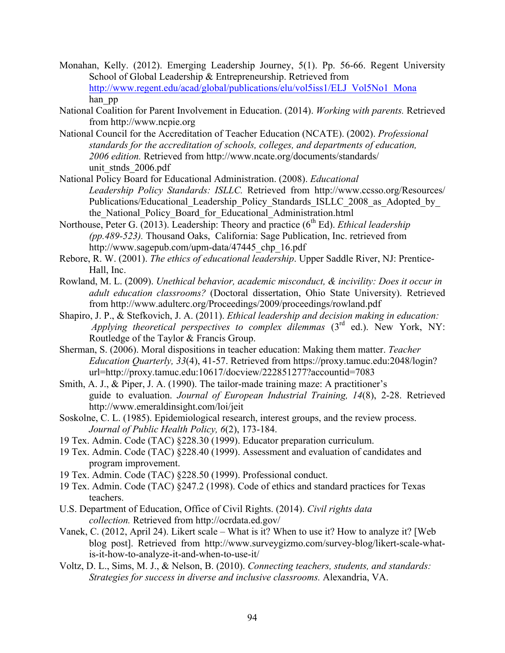- Monahan, Kelly. (2012). Emerging Leadership Journey, 5(1). Pp. 56-66. Regent University School of Global Leadership & Entrepreneurship. Retrieved from http://www.regent.edu/acad/global/publications/elu/vol5iss1/ELJ\_Vol5No1\_Mona han\_pp
- National Coalition for Parent Involvement in Education. (2014). *Working with parents.* Retrieved from http://www.ncpie.org
- National Council for the Accreditation of Teacher Education (NCATE). (2002). *Professional standards for the accreditation of schools, colleges, and departments of education, 2006 edition.* Retrieved from http://www.ncate.org/documents/standards/ unit\_stnds\_2006.pdf
- National Policy Board for Educational Administration. (2008). *Educational Leadership Policy Standards: ISLLC.* Retrieved from http://www.ccsso.org/Resources/ Publications/Educational Leadership Policy Standards ISLLC 2008 as Adopted by the National Policy Board for Educational Administration.html
- Northouse, Peter G. (2013). Leadership: Theory and practice (6<sup>th</sup> Ed). *Ethical leadership (pp.489-523).* Thousand Oaks, California: Sage Publication, Inc. retrieved from http://www.sagepub.com/upm-data/47445 chp\_16.pdf
- Rebore, R. W. (2001). *The ethics of educational leadership*. Upper Saddle River, NJ: Prentice-Hall, Inc.
- Rowland, M. L. (2009). *Unethical behavior, academic misconduct, & incivility: Does it occur in adult education classrooms?* (Doctoral dissertation, Ohio State University). Retrieved from http://www.adulterc.org/Proceedings/2009/proceedings/rowland.pdf
- Shapiro, J. P., & Stefkovich, J. A. (2011). *Ethical leadership and decision making in education: Applying theoretical perspectives to complex dilemmas*  $(3<sup>rd</sup>$  ed.). New York, NY: Routledge of the Taylor & Francis Group.
- Sherman, S. (2006). Moral dispositions in teacher education: Making them matter. *Teacher Education Quarterly, 33*(4), 41-57. Retrieved from https://proxy.tamuc.edu:2048/login? url=http://proxy.tamuc.edu:10617/docview/222851277?accountid=7083
- Smith, A. J., & Piper, J. A. (1990). The tailor-made training maze: A practitioner's guide to evaluation. *Journal of European Industrial Training, 14*(8), 2-28. Retrieved http://www.emeraldinsight.com/loi/jeit
- Soskolne, C. L. (1985). Epidemiological research, interest groups, and the review process. *Journal of Public Health Policy, 6*(2), 173-184.
- 19 Tex. Admin. Code (TAC) §228.30 (1999). Educator preparation curriculum.
- 19 Tex. Admin. Code (TAC) §228.40 (1999). Assessment and evaluation of candidates and program improvement.
- 19 Tex. Admin. Code (TAC) §228.50 (1999). Professional conduct.
- 19 Tex. Admin. Code (TAC) §247.2 (1998). Code of ethics and standard practices for Texas teachers.
- U.S. Department of Education, Office of Civil Rights. (2014). *Civil rights data collection.* Retrieved from http://ocrdata.ed.gov/
- Vanek, C. (2012, April 24). Likert scale What is it? When to use it? How to analyze it? [Web blog post]. Retrieved from http://www.surveygizmo.com/survey-blog/likert-scale-whatis-it-how-to-analyze-it-and-when-to-use-it/
- Voltz, D. L., Sims, M. J., & Nelson, B. (2010). *Connecting teachers, students, and standards: Strategies for success in diverse and inclusive classrooms.* Alexandria, VA.